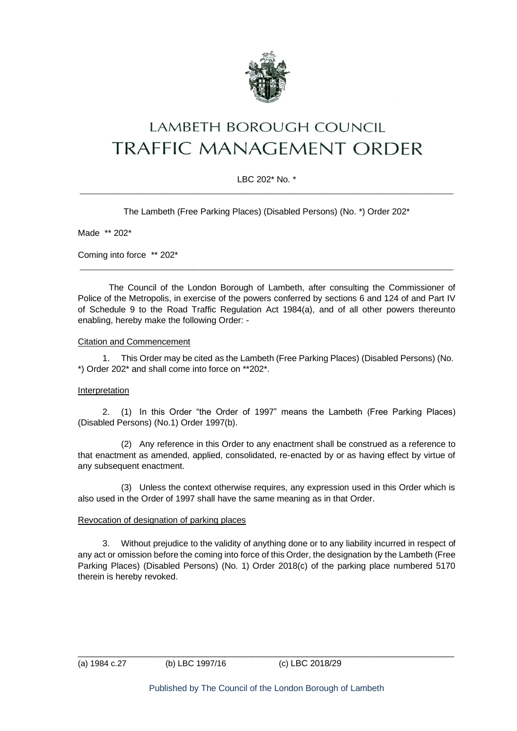

# **LAMBETH BOROUGH COUNCIL** TRAFFIC MANAGEMENT ORDER

## LBC 202\* No. \*  $\_$  ,  $\_$  ,  $\_$  ,  $\_$  ,  $\_$  ,  $\_$  ,  $\_$  ,  $\_$  ,  $\_$  ,  $\_$  ,  $\_$  ,  $\_$  ,  $\_$  ,  $\_$  ,  $\_$  ,  $\_$  ,  $\_$  ,  $\_$  ,  $\_$  ,  $\_$  ,  $\_$  ,  $\_$  ,  $\_$  ,  $\_$  ,  $\_$  ,  $\_$  ,  $\_$  ,  $\_$  ,  $\_$  ,  $\_$  ,  $\_$  ,  $\_$  ,  $\_$  ,  $\_$  ,  $\_$  ,  $\_$  ,  $\_$  ,

The Lambeth (Free Parking Places) (Disabled Persons) (No. \*) Order 202\*

Made \*\* 202\*

Coming into force \*\* 202\*

The Council of the London Borough of Lambeth, after consulting the Commissioner of Police of the Metropolis, in exercise of the powers conferred by sections 6 and 124 of and Part IV of Schedule 9 to the Road Traffic Regulation Act 1984(a), and of all other powers thereunto enabling, hereby make the following Order: -

\_\_\_\_\_\_\_\_\_\_\_\_\_\_\_\_\_\_\_\_\_\_\_\_\_\_\_\_\_\_\_\_\_\_\_\_\_\_\_\_\_\_\_\_\_\_\_\_\_\_\_\_\_\_\_\_\_\_\_\_\_\_\_\_\_\_\_\_\_\_\_\_\_\_\_\_\_\_\_\_\_\_\_\_\_\_

## Citation and Commencement

1. This Order may be cited as the Lambeth (Free Parking Places) (Disabled Persons) (No. \*) Order 202\* and shall come into force on \*\*202\*.

## **Interpretation**

2. (1) In this Order "the Order of 1997" means the Lambeth (Free Parking Places) (Disabled Persons) (No.1) Order 1997(b).

(2) Any reference in this Order to any enactment shall be construed as a reference to that enactment as amended, applied, consolidated, re-enacted by or as having effect by virtue of any subsequent enactment.

(3) Unless the context otherwise requires, any expression used in this Order which is also used in the Order of 1997 shall have the same meaning as in that Order.

#### Revocation of designation of parking places

3. Without prejudice to the validity of anything done or to any liability incurred in respect of any act or omission before the coming into force of this Order, the designation by the Lambeth (Free Parking Places) (Disabled Persons) (No. 1) Order 2018(c) of the parking place numbered 5170 therein is hereby revoked.

 $\_$  ,  $\_$  ,  $\_$  ,  $\_$  ,  $\_$  ,  $\_$  ,  $\_$  ,  $\_$  ,  $\_$  ,  $\_$  ,  $\_$  ,  $\_$  ,  $\_$  ,  $\_$  ,  $\_$  ,  $\_$  ,  $\_$  ,  $\_$  ,  $\_$  ,  $\_$  ,  $\_$  ,  $\_$  ,  $\_$  ,  $\_$  ,  $\_$  ,  $\_$  ,  $\_$  ,  $\_$  ,  $\_$  ,  $\_$  ,  $\_$  ,  $\_$  ,  $\_$  ,  $\_$  ,  $\_$  ,  $\_$  ,  $\_$  ,